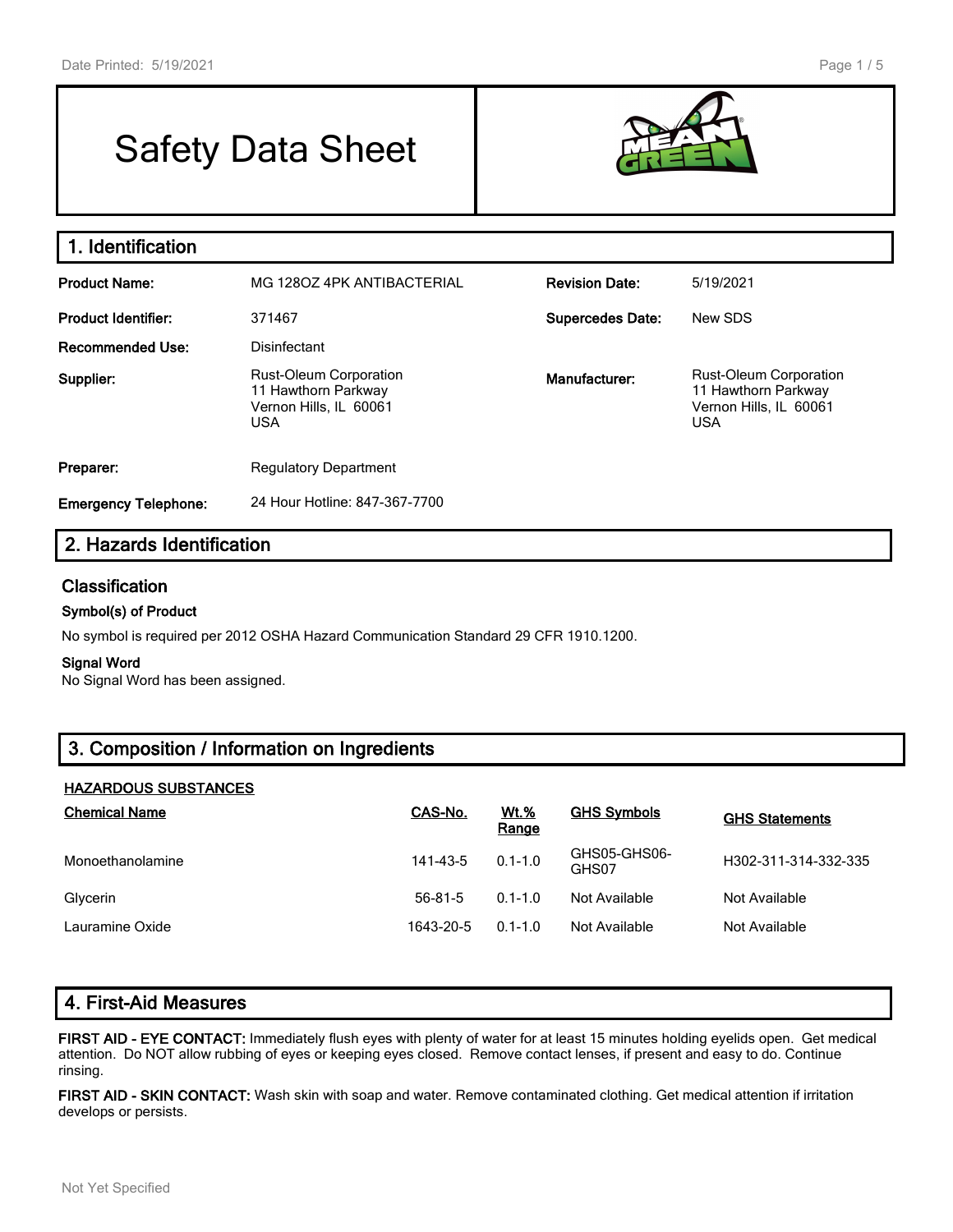# Safety Data Sheet



| 1. Identification           |                                                                                              |                         |                                                                                              |
|-----------------------------|----------------------------------------------------------------------------------------------|-------------------------|----------------------------------------------------------------------------------------------|
| <b>Product Name:</b>        | MG 1280Z 4PK ANTIBACTERIAL                                                                   | <b>Revision Date:</b>   | 5/19/2021                                                                                    |
| <b>Product Identifier:</b>  | 371467                                                                                       | <b>Supercedes Date:</b> | New SDS                                                                                      |
| Recommended Use:            | Disinfectant                                                                                 |                         |                                                                                              |
| Supplier:                   | <b>Rust-Oleum Corporation</b><br>11 Hawthorn Parkway<br>Vernon Hills, IL 60061<br><b>USA</b> | Manufacturer:           | <b>Rust-Oleum Corporation</b><br>11 Hawthorn Parkway<br>Vernon Hills, IL 60061<br><b>USA</b> |
| Preparer:                   | <b>Regulatory Department</b>                                                                 |                         |                                                                                              |
| <b>Emergency Telephone:</b> | 24 Hour Hotline: 847-367-7700                                                                |                         |                                                                                              |

# **2. Hazards Identification**

## **Classification**

#### **Symbol(s) of Product**

No symbol is required per 2012 OSHA Hazard Communication Standard 29 CFR 1910.1200.

#### **Signal Word**

No Signal Word has been assigned.

# **3. Composition / Information on Ingredients**

#### **HAZARDOUS SUBSTANCES**

| <b>Chemical Name</b> | CAS-No.       | <u>Wt.%</u><br>Range | <b>GHS Symbols</b>    | <b>GHS Statements</b> |
|----------------------|---------------|----------------------|-----------------------|-----------------------|
| Monoethanolamine     | 141-43-5      | $0.1 - 1.0$          | GHS05-GHS06-<br>GHS07 | H302-311-314-332-335  |
| Glycerin             | $56 - 81 - 5$ | $0.1 - 1.0$          | Not Available         | Not Available         |
| Lauramine Oxide      | 1643-20-5     | $0.1 - 1.0$          | Not Available         | Not Available         |

**FIRST AID - EYE CONTACT:** Immediately flush eyes with plenty of water for at least 15 minutes holding eyelids open. Get medical attention. Do NOT allow rubbing of eyes or keeping eyes closed. Remove contact lenses, if present and easy to do. Continue rinsing.

**FIRST AID - SKIN CONTACT:** Wash skin with soap and water. Remove contaminated clothing. Get medical attention if irritation develops or persists.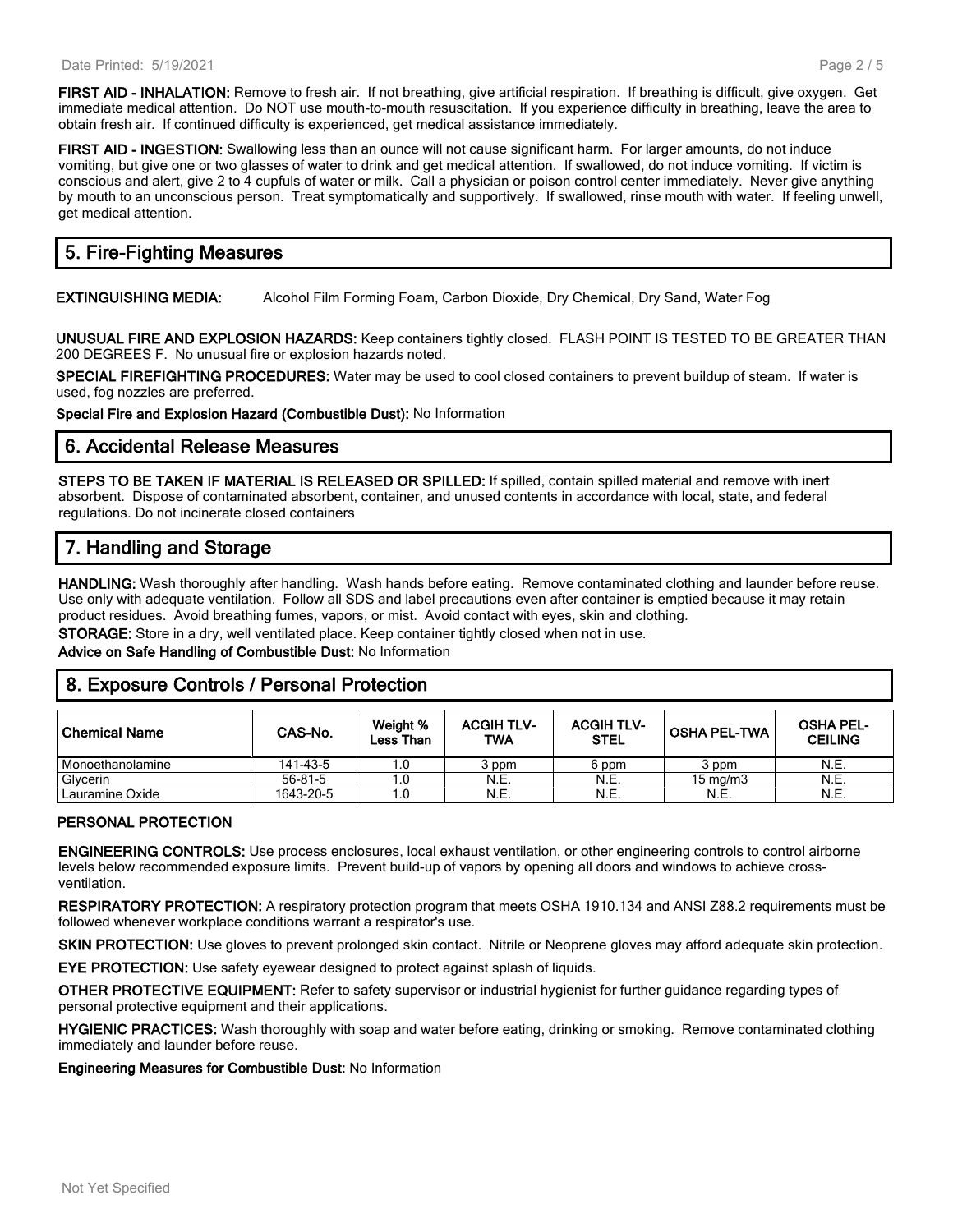**FIRST AID - INHALATION:** Remove to fresh air. If not breathing, give artificial respiration. If breathing is difficult, give oxygen. Get immediate medical attention. Do NOT use mouth-to-mouth resuscitation. If you experience difficulty in breathing, leave the area to obtain fresh air. If continued difficulty is experienced, get medical assistance immediately.

**FIRST AID - INGESTION:** Swallowing less than an ounce will not cause significant harm. For larger amounts, do not induce vomiting, but give one or two glasses of water to drink and get medical attention. If swallowed, do not induce vomiting. If victim is conscious and alert, give 2 to 4 cupfuls of water or milk. Call a physician or poison control center immediately. Never give anything by mouth to an unconscious person. Treat symptomatically and supportively. If swallowed, rinse mouth with water. If feeling unwell, get medical attention.

# **5. Fire-Fighting Measures**

**EXTINGUISHING MEDIA:** Alcohol Film Forming Foam, Carbon Dioxide, Dry Chemical, Dry Sand, Water Fog

**UNUSUAL FIRE AND EXPLOSION HAZARDS:** Keep containers tightly closed. FLASH POINT IS TESTED TO BE GREATER THAN 200 DEGREES F. No unusual fire or explosion hazards noted.

**SPECIAL FIREFIGHTING PROCEDURES:** Water may be used to cool closed containers to prevent buildup of steam. If water is used, fog nozzles are preferred.

**Special Fire and Explosion Hazard (Combustible Dust):** No Information

## **6. Accidental Release Measures**

**STEPS TO BE TAKEN IF MATERIAL IS RELEASED OR SPILLED:** If spilled, contain spilled material and remove with inert absorbent. Dispose of contaminated absorbent, container, and unused contents in accordance with local, state, and federal regulations. Do not incinerate closed containers

# **7. Handling and Storage**

**HANDLING:** Wash thoroughly after handling. Wash hands before eating. Remove contaminated clothing and launder before reuse. Use only with adequate ventilation. Follow all SDS and label precautions even after container is emptied because it may retain product residues. Avoid breathing fumes, vapors, or mist. Avoid contact with eyes, skin and clothing.

**STORAGE:** Store in a dry, well ventilated place. Keep container tightly closed when not in use.

**Advice on Safe Handling of Combustible Dust:** No Information

## **8. Exposure Controls / Personal Protection**

| ∣ Chemical Name  | CAS-No.   | Weight %<br>Less Than | <b>ACGIH TLV-</b><br><b>TWA</b> | <b>ACGIH TLV-</b><br><b>STEL</b> | ⊦OSHA PEL-TWA     | <b>OSHA PEL-</b><br><b>CEILING</b> |
|------------------|-----------|-----------------------|---------------------------------|----------------------------------|-------------------|------------------------------------|
| Monoethanolamine | 141-43-5  |                       | 3 ppm                           | 6 ppm                            | 3 ppm             | N.E.                               |
| Glycerin         | 56-81-5   |                       | N.E.                            | N.E.                             | $15 \text{ mg/m}$ | N.E.                               |
| Lauramine Oxide  | 1643-20-5 |                       | N.E.                            | N.E.                             | N.E.              | N.E.                               |

### **PERSONAL PROTECTION**

**ENGINEERING CONTROLS:** Use process enclosures, local exhaust ventilation, or other engineering controls to control airborne levels below recommended exposure limits. Prevent build-up of vapors by opening all doors and windows to achieve crossventilation.

**RESPIRATORY PROTECTION:** A respiratory protection program that meets OSHA 1910.134 and ANSI Z88.2 requirements must be followed whenever workplace conditions warrant a respirator's use.

**SKIN PROTECTION:** Use gloves to prevent prolonged skin contact. Nitrile or Neoprene gloves may afford adequate skin protection.

**EYE PROTECTION:** Use safety eyewear designed to protect against splash of liquids.

**OTHER PROTECTIVE EQUIPMENT:** Refer to safety supervisor or industrial hygienist for further guidance regarding types of personal protective equipment and their applications.

**HYGIENIC PRACTICES:** Wash thoroughly with soap and water before eating, drinking or smoking. Remove contaminated clothing immediately and launder before reuse.

**Engineering Measures for Combustible Dust:** No Information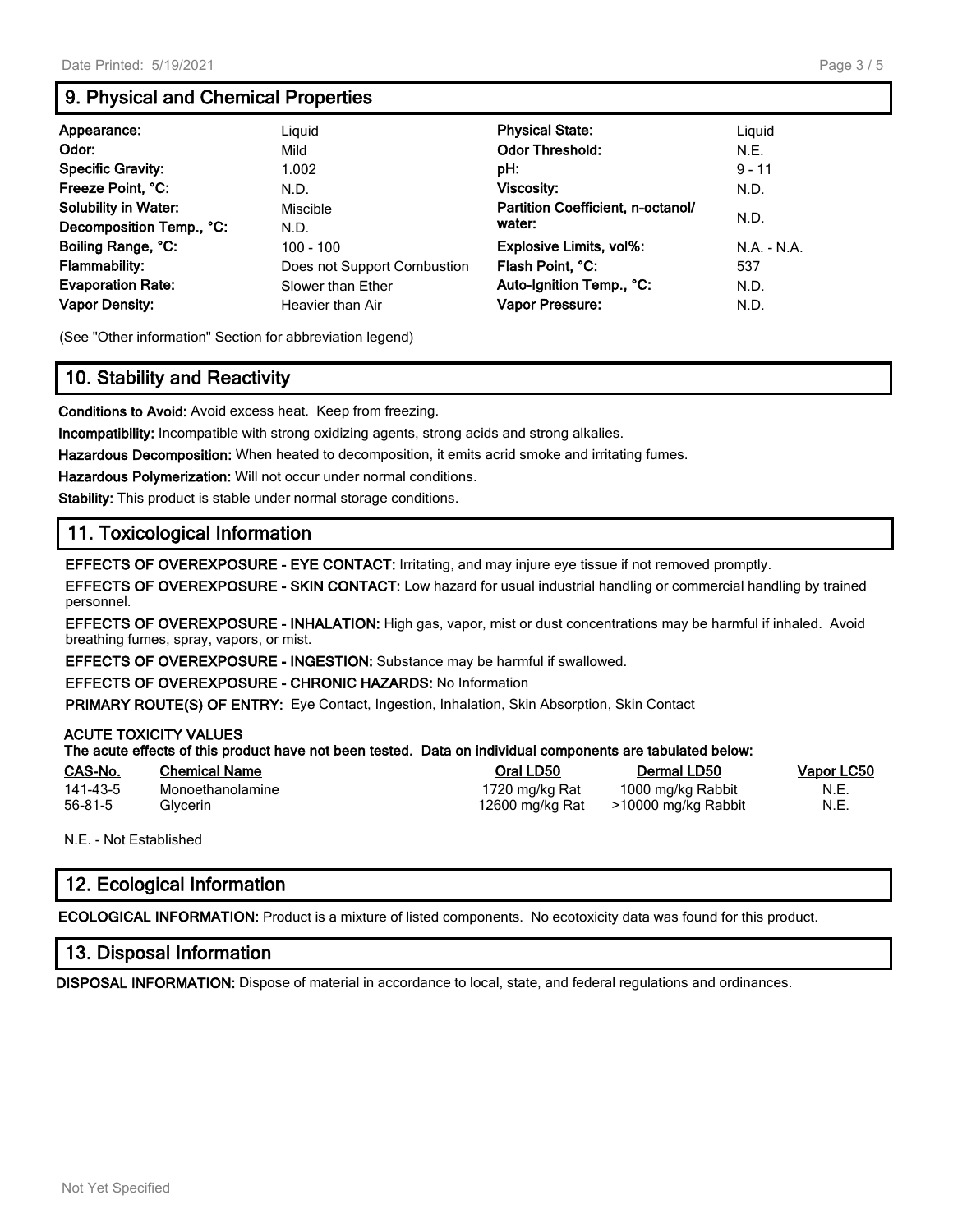# **9. Physical and Chemical Properties**

| Appearance:                 | Liguid                      | <b>Physical State:</b>            | Liguid        |
|-----------------------------|-----------------------------|-----------------------------------|---------------|
| Odor:                       | Mild                        | <b>Odor Threshold:</b>            | N.E.          |
| <b>Specific Gravity:</b>    | 1.002                       | pH:                               | $9 - 11$      |
| Freeze Point, °C:           | N.D.                        | Viscosity:                        | N.D.          |
| <b>Solubility in Water:</b> | Miscible                    | Partition Coefficient, n-octanol/ |               |
| Decomposition Temp., °C:    | N.D.                        | water:                            | N.D.          |
| Boiling Range, °C:          | 100 - 100                   | <b>Explosive Limits, vol%:</b>    | $N.A. - N.A.$ |
| <b>Flammability:</b>        | Does not Support Combustion | Flash Point, °C:                  | 537           |
| <b>Evaporation Rate:</b>    | Slower than Ether           | Auto-Ignition Temp., °C:          | N.D.          |
| <b>Vapor Density:</b>       | Heavier than Air            | Vapor Pressure:                   | N.D.          |

(See "Other information" Section for abbreviation legend)

# **10. Stability and Reactivity**

**Conditions to Avoid:** Avoid excess heat. Keep from freezing.

**Incompatibility:** Incompatible with strong oxidizing agents, strong acids and strong alkalies.

**Hazardous Decomposition:** When heated to decomposition, it emits acrid smoke and irritating fumes.

**Hazardous Polymerization:** Will not occur under normal conditions.

**Stability:** This product is stable under normal storage conditions.

# **11. Toxicological Information**

**EFFECTS OF OVEREXPOSURE - EYE CONTACT:** Irritating, and may injure eye tissue if not removed promptly.

**EFFECTS OF OVEREXPOSURE - SKIN CONTACT:** Low hazard for usual industrial handling or commercial handling by trained personnel.

**EFFECTS OF OVEREXPOSURE - INHALATION:** High gas, vapor, mist or dust concentrations may be harmful if inhaled. Avoid breathing fumes, spray, vapors, or mist.

**EFFECTS OF OVEREXPOSURE - INGESTION:** Substance may be harmful if swallowed.

**EFFECTS OF OVEREXPOSURE - CHRONIC HAZARDS:** No Information

**PRIMARY ROUTE(S) OF ENTRY:** Eye Contact, Ingestion, Inhalation, Skin Absorption, Skin Contact

#### **ACUTE TOXICITY VALUES**

|          | The acute effects of this product have not been tested. Data on individual components are tabulated below: |                 |                     |            |
|----------|------------------------------------------------------------------------------------------------------------|-----------------|---------------------|------------|
| CAS-No.  | <b>Chemical Name</b>                                                                                       | Oral LD50       | Dermal LD50         | Vapor LC50 |
| 141-43-5 | Monoethanolamine                                                                                           | 1720 mg/kg Rat  | 1000 mg/kg Rabbit   | N.E.       |
| 56-81-5  | Glvcerin                                                                                                   | 12600 ma/ka Rat | >10000 mg/kg Rabbit | N.E.       |

N.E. - Not Established

# **12. Ecological Information**

**ECOLOGICAL INFORMATION:** Product is a mixture of listed components. No ecotoxicity data was found for this product.

### **13. Disposal Information**

**DISPOSAL INFORMATION:** Dispose of material in accordance to local, state, and federal regulations and ordinances.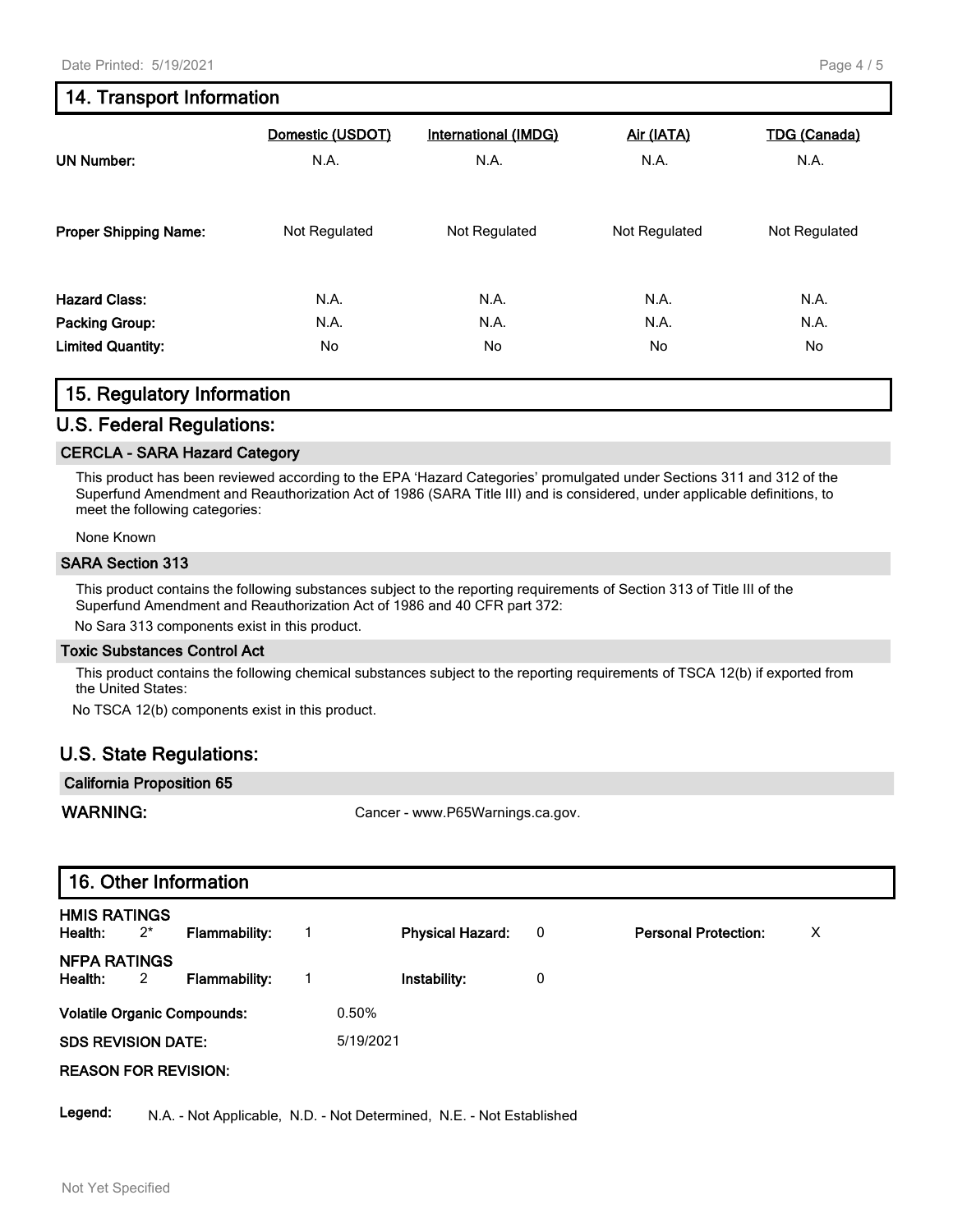# **14. Transport Information**

| <b>UN Number:</b>            | Domestic (USDOT) | <b>International (IMDG)</b> | Air (IATA)    | <b>TDG (Canada)</b> |
|------------------------------|------------------|-----------------------------|---------------|---------------------|
|                              | N.A.             | N.A.                        | N.A.          | N.A.                |
| <b>Proper Shipping Name:</b> | Not Regulated    | Not Regulated               | Not Regulated | Not Regulated       |
| <b>Hazard Class:</b>         | N.A.             | N.A.                        | N.A.          | N.A.                |
| Packing Group:               | N.A.             | N.A.                        | N.A.          | N.A.                |
| <b>Limited Quantity:</b>     | No               | No                          | No            | No                  |

## **15. Regulatory Information**

### **U.S. Federal Regulations:**

#### **CERCLA - SARA Hazard Category**

This product has been reviewed according to the EPA 'Hazard Categories' promulgated under Sections 311 and 312 of the Superfund Amendment and Reauthorization Act of 1986 (SARA Title III) and is considered, under applicable definitions, to meet the following categories:

None Known

#### **SARA Section 313**

This product contains the following substances subject to the reporting requirements of Section 313 of Title III of the Superfund Amendment and Reauthorization Act of 1986 and 40 CFR part 372:

No Sara 313 components exist in this product.

#### **Toxic Substances Control Act**

This product contains the following chemical substances subject to the reporting requirements of TSCA 12(b) if exported from the United States:

No TSCA 12(b) components exist in this product.

## **U.S. State Regulations:**

| <b>California Proposition 65</b> |                                  |
|----------------------------------|----------------------------------|
| WARNING:                         | Cancer - www.P65Warnings.ca.gov. |

|                                |                         | 16. Other Information              |                |                         |                         |                             |   |
|--------------------------------|-------------------------|------------------------------------|----------------|-------------------------|-------------------------|-----------------------------|---|
| <b>HMIS RATINGS</b><br>Health: | $2^{*}$                 | <b>Flammability:</b>               |                | <b>Physical Hazard:</b> | $\overline{\mathbf{0}}$ | <b>Personal Protection:</b> | X |
| <b>NFPA RATINGS</b><br>Health: | $\overline{\mathbf{2}}$ | <b>Flammability:</b>               | $\overline{1}$ | Instability:            | 0                       |                             |   |
|                                |                         | <b>Volatile Organic Compounds:</b> |                | 0.50%                   |                         |                             |   |
| <b>SDS REVISION DATE:</b>      |                         |                                    |                | 5/19/2021               |                         |                             |   |
| <b>REASON FOR REVISION:</b>    |                         |                                    |                |                         |                         |                             |   |

Legend: N.A. - Not Applicable, N.D. - Not Determined, N.E. - Not Established